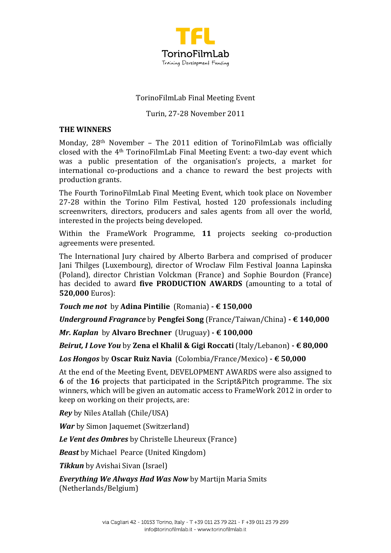

# TorinoFilmLab Final Meeting Event

### Turin, 27-28 November 2011

#### **THE WINNERS**

Monday,  $28<sup>th</sup>$  November – The  $2011$  edition of TorinoFilmLab was officially closed with the 4<sup>th</sup> TorinoFilmLab Final Meeting Event: a two-day event which was a public presentation of the organisation's projects, a market for international co-productions and a chance to reward the best projects with production grants.

The Fourth TorinoFilmLab Final Meeting Event, which took place on November 27-28 within the Torino Film Festival, hosted 120 professionals including screenwriters, directors, producers and sales agents from all over the world, interested in the projects being developed.

Within the FrameWork Programme, 11 projects seeking co-production agreements were presented.

The International Jury chaired by Alberto Barbera and comprised of producer Jani Thilges (Luxembourg), director of Wroclaw Film Festival Joanna Lapinska (Poland), director Christian Volckman (France) and Sophie Bourdon (France) has decided to award **five PRODUCTION AWARDS** (amounting to a total of **520,000** Euros):

*Touch me not* by **Adina Pintilie** (Romania)  $\cdot \in 150,000$ 

*Underground Fragrance* by Pengfei Song (France/Taiwan/China) **- € 140,000** 

*Mr. Kaplan* by Alvaro Brechner (Uruguay) **- € 100,000** 

*Beirut, I Love You* by Zena el Khalil & Gigi Roccati (Italy/Lebanon) - € 80,000

*Los Hongos* by Oscar Ruiz Navia (Colombia/France/Mexico) - € 50,000

At the end of the Meeting Event, DEVELOPMENT AWARDS were also assigned to **6** of the 16 projects that participated in the Script&Pitch programme. The six winners, which will be given an automatic access to FrameWork 2012 in order to keep on working on their projects, are:

**Rey** by Niles Atallah (Chile/USA)

*War* by Simon Jaquemet (Switzerland)

**Le Vent des Ombres** by Christelle Lheureux (France)

**Beast** by Michael Pearce (United Kingdom)

**Tikkun** by Avishai Sivan (Israel)

*Everything We Always Had Was Now by Martijn Maria Smits* (Netherlands/Belgium)